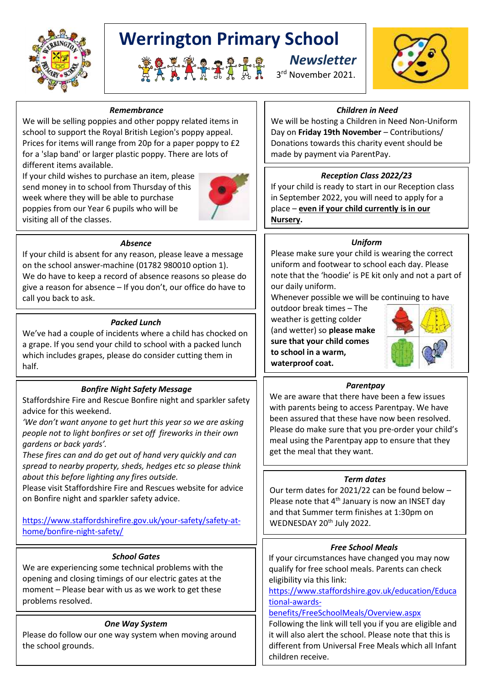

# **Werrington Primary School**





#### *Remembrance*

We will be selling poppies and other poppy related items in school to support the Royal British Legion's poppy appeal. Prices for items will range from 20p for a paper poppy to £2 for a 'slap band' or larger plastic poppy. There are lots of different items available.

If your child wishes to purchase an item, please send money in to school from Thursday of this week where they will be able to purchase poppies from our Year 6 pupils who will be visiting all of the classes.



#### *Absence*

If your child is absent for any reason, please leave a message on the school answer-machine (01782 980010 option 1). We do have to keep a record of absence reasons so please do give a reason for absence – If you don't, our office do have to call you back to ask.

#### *Packed Lunch*

We've had a couple of incidents where a child has chocked on a grape. If you send your child to school with a packed lunch which includes grapes, please do consider cutting them in half.

## *Bonfire Night Safety Message*

Staffordshire Fire and Rescue Bonfire night and sparkler safety advice for this weekend.

*'We don't want anyone to get hurt this year so we are asking people not to light bonfires or set off fireworks in their own gardens or back yards'.* 

*These fires can and do get out of hand very quickly and can spread to nearby property, sheds, hedges etc so please think about this before lighting any fires outside.* 

Please visit Staffordshire Fire and Rescues website for advice on Bonfire night and sparkler safety advice.

## [https://www.staffordshirefire.gov.uk/your-safety/safety-at](https://www.staffordshirefire.gov.uk/your-safety/safety-at-home/bonfire-night-safety/)[home/bonfire-night-safety/](https://www.staffordshirefire.gov.uk/your-safety/safety-at-home/bonfire-night-safety/)

#### *School Gates*

We are experiencing some technical problems with the opening and closing timings of our electric gates at the moment – Please bear with us as we work to get these problems resolved.

## *One Way System*

Please do follow our one way system when moving around the school grounds.

#### *Children in Need*

We will be hosting a Children in Need Non-Uniform Day on **Friday 19th November** – Contributions/ Donations towards this charity event should be made by payment via ParentPay.

## *Reception Class 2022/23*

If your child is ready to start in our Reception class in September 2022, you will need to apply for a place – **even if your child currently is in our Nursery.**

#### *Uniform*

Please make sure your child is wearing the correct uniform and footwear to school each day. Please note that the 'hoodie' is PE kit only and not a part of our daily uniform.

Whenever possible we will be continuing to have

outdoor break times – The weather is getting colder (and wetter) so **please make sure that your child comes to school in a warm, waterproof coat.**



#### *Parentpay*

We are aware that there have been a few issues with parents being to access Parentpay. We have been assured that these have now been resolved. Please do make sure that you pre-order your child's meal using the Parentpay app to ensure that they get the meal that they want.

#### *Term dates*

Our term dates for 2021/22 can be found below – Please note that 4<sup>th</sup> January is now an INSET day and that Summer term finishes at 1:30pm on WEDNESDAY 20<sup>th</sup> July 2022.

#### *Free School Meals*

If your circumstances have changed you may now qualify for free school meals. Parents can check eligibility via this link:

[https://www.staffordshire.gov.uk/education/Educa](https://www.staffordshire.gov.uk/education/Educational-awards-benefits/FreeSchoolMeals/Overview.aspx) [tional-awards-](https://www.staffordshire.gov.uk/education/Educational-awards-benefits/FreeSchoolMeals/Overview.aspx)

#### [benefits/FreeSchoolMeals/Overview.aspx](https://www.staffordshire.gov.uk/education/Educational-awards-benefits/FreeSchoolMeals/Overview.aspx)

Following the link will tell you if you are eligible and it will also alert the school. Please note that this is different from Universal Free Meals which all Infant children receive.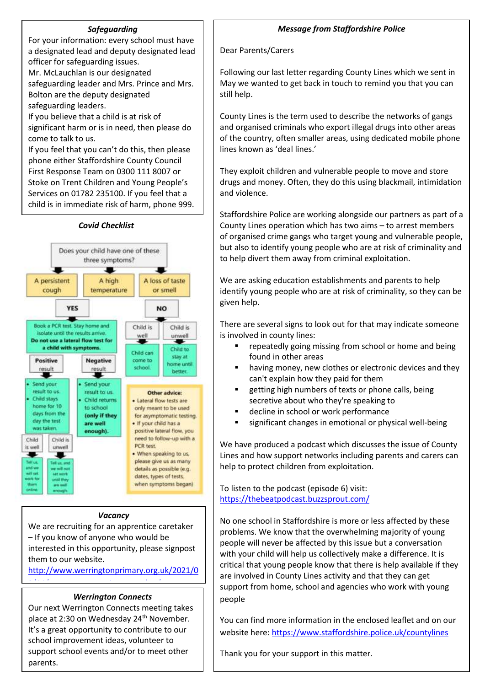#### *Safeguarding*

For your information: every school must have a designated lead and deputy designated lead officer for safeguarding issues.

Mr. McLauchlan is our designated

safeguarding leader and Mrs. Prince and Mrs. Bolton are the deputy designated safeguarding leaders.

If you believe that a child is at risk of

significant harm or is in need, then please do come to talk to us.

If you feel that you can't do this, then please phone either Staffordshire County Council First Response Team on 0300 111 8007 or Stoke on Trent Children and Young People's Services on 01782 235100. If you feel that a child is in immediate risk of harm, phone 999.

#### *Covid Checklist*



#### *Vacancy*

We are recruiting for an apprentice caretaker – If you know of anyone who would be interested in this opportunity, please signpost them to our website.

[http://www.werringtonprimary.org.uk/2021/0](http://www.werringtonprimary.org.uk/2021/09/14/vacancy-apprentice-caretaker/)

#### *Werrington Connects*

 $\frac{1}{2}$  /14/vacancy-apprentice-caretaker/apprentice-caretaker/apprentice-caretaker/apprentice-caretaker/apprentice-caretaker/apprentice-caretaker/apprentice-caretaker/apprentice-caretaker/apprentice-caretaker/apprentice

Our next Werrington Connects meeting takes place at 2:30 on Wednesday 24<sup>th</sup> November. It's a great opportunity to contribute to our school improvement ideas, volunteer to support school events and/or to meet other parents.

#### *Message from Staffordshire Police*

#### Dear Parents/Carers

Following our last letter regarding County Lines which we sent in May we wanted to get back in touch to remind you that you can still help.

County Lines is the term used to describe the networks of gangs and organised criminals who export illegal drugs into other areas of the country, often smaller areas, using dedicated mobile phone lines known as 'deal lines.'

They exploit children and vulnerable people to move and store drugs and money. Often, they do this using blackmail, intimidation and violence.

Staffordshire Police are working alongside our partners as part of a County Lines operation which has two aims – to arrest members of organised crime gangs who target young and vulnerable people, but also to identify young people who are at risk of criminality and to help divert them away from criminal exploitation.

We are asking education establishments and parents to help identify young people who are at risk of criminality, so they can be given help.

There are several signs to look out for that may indicate someone is involved in county lines:

- repeatedly going missing from school or home and being found in other areas
- **EXTERG** having money, new clothes or electronic devices and they can't explain how they paid for them
- getting high numbers of texts or phone calls, being secretive about who they're speaking to
- decline in school or work performance
- significant changes in emotional or physical well-being

We have produced a podcast which discusses the issue of County Lines and how support networks including parents and carers can help to protect children from exploitation.

To listen to the podcast (episode 6) visit: <https://thebeatpodcast.buzzsprout.com/>

No one school in Staffordshire is more or less affected by these problems. We know that the overwhelming majority of young people will never be affected by this issue but a conversation with your child will help us collectively make a difference. It is critical that young people know that there is help available if they are involved in County Lines activity and that they can get support from home, school and agencies who work with young people

You can find more information in the enclosed leaflet and on our website here[: https://www.staffordshire.police.uk/countylines](https://www.staffordshire.police.uk/countylines)

Thank you for your support in this matter.